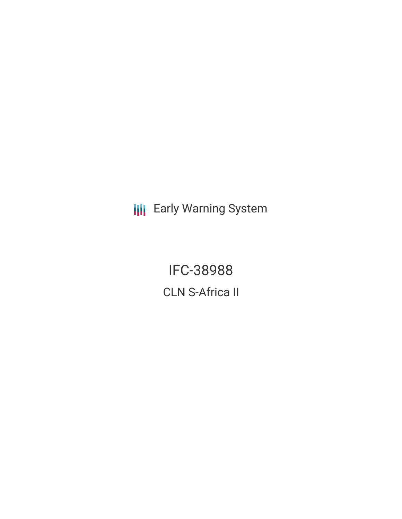**III** Early Warning System

IFC-38988 CLN S-Africa II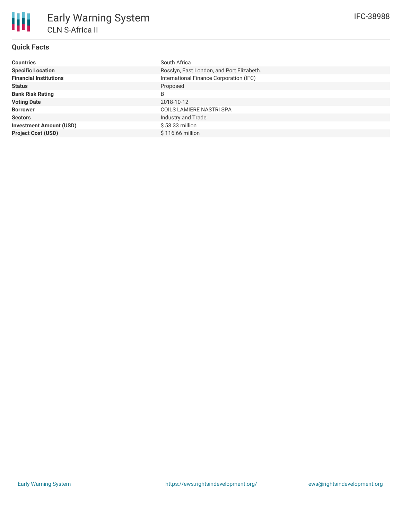| <b>Countries</b>               | South Africa                              |
|--------------------------------|-------------------------------------------|
| <b>Specific Location</b>       | Rosslyn, East London, and Port Elizabeth. |
| <b>Financial Institutions</b>  | International Finance Corporation (IFC)   |
| <b>Status</b>                  | Proposed                                  |
| <b>Bank Risk Rating</b>        | B                                         |
| <b>Voting Date</b>             | 2018-10-12                                |
| <b>Borrower</b>                | <b>COILS LAMIERE NASTRI SPA</b>           |
| <b>Sectors</b>                 | Industry and Trade                        |
| <b>Investment Amount (USD)</b> | \$58.33 million                           |
| <b>Project Cost (USD)</b>      | \$116.66 million                          |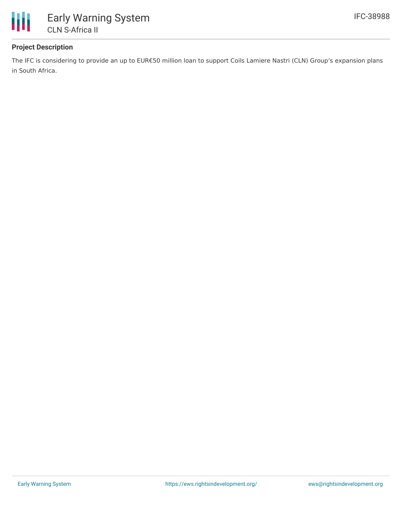

## **Project Description**

The IFC is considering to provide an up to EUR€50 million loan to support Coils Lamiere Nastri (CLN) Group's expansion plans in South Africa.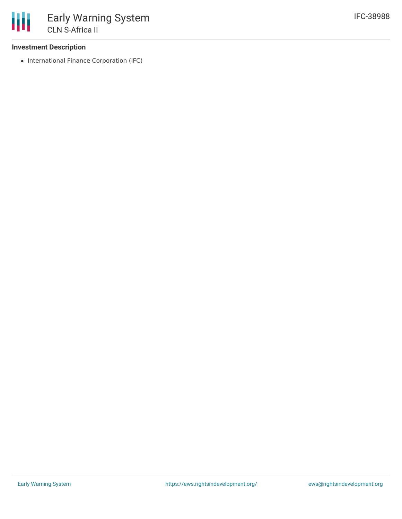### **Investment Description**

• International Finance Corporation (IFC)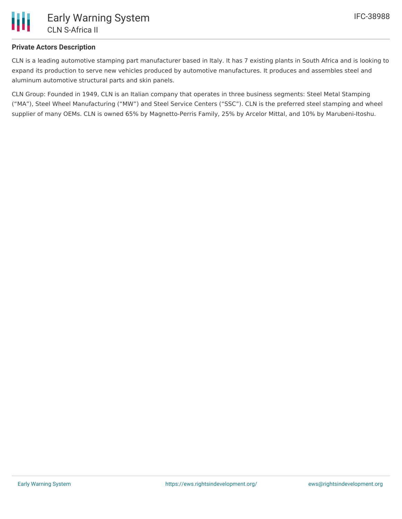

### **Private Actors Description**

CLN is a leading automotive stamping part manufacturer based in Italy. It has 7 existing plants in South Africa and is looking to expand its production to serve new vehicles produced by automotive manufactures. It produces and assembles steel and aluminum automotive structural parts and skin panels.

CLN Group: Founded in 1949, CLN is an Italian company that operates in three business segments: Steel Metal Stamping ("MA"), Steel Wheel Manufacturing ("MW") and Steel Service Centers ("SSC"). CLN is the preferred steel stamping and wheel supplier of many OEMs. CLN is owned 65% by Magnetto-Perris Family, 25% by Arcelor Mittal, and 10% by Marubeni-Itoshu.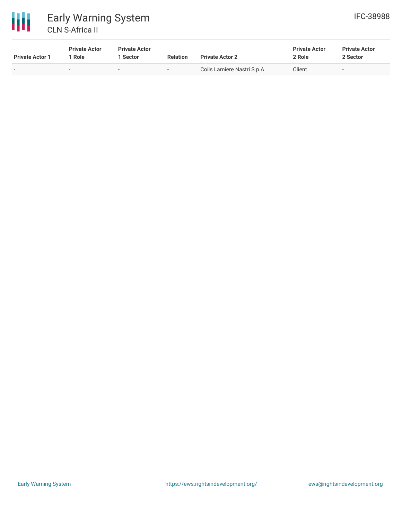

CLN S-Africa II

冊

| <b>Private Actor 1</b> | <b>Private Actor</b><br>1 Role | <b>Private Actor</b><br>1 Sector | <b>Relation</b> | <b>Private Actor 2</b>      | <b>Private Actor</b><br>2 Role | <b>Private Actor</b><br>2 Sector |
|------------------------|--------------------------------|----------------------------------|-----------------|-----------------------------|--------------------------------|----------------------------------|
|                        |                                |                                  |                 | Coils Lamiere Nastri S.p.A. | Client                         | $\overline{\phantom{a}}$         |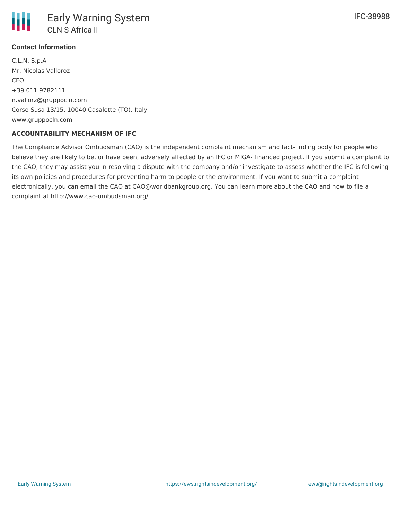

# **Contact Information**

C.L.N. S.p.A Mr. Nicolas Valloroz CFO +39 011 9782111 n.vallorz@gruppocln.com Corso Susa 13/15, 10040 Casalette (TO), Italy www.gruppocln.com

### **ACCOUNTABILITY MECHANISM OF IFC**

The Compliance Advisor Ombudsman (CAO) is the independent complaint mechanism and fact-finding body for people who believe they are likely to be, or have been, adversely affected by an IFC or MIGA- financed project. If you submit a complaint to the CAO, they may assist you in resolving a dispute with the company and/or investigate to assess whether the IFC is following its own policies and procedures for preventing harm to people or the environment. If you want to submit a complaint electronically, you can email the CAO at CAO@worldbankgroup.org. You can learn more about the CAO and how to file a complaint at http://www.cao-ombudsman.org/